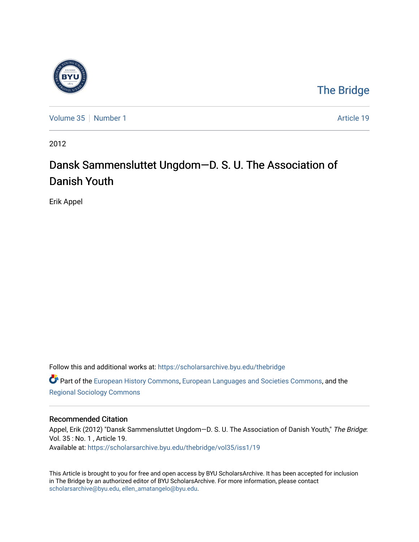

## [The Bridge](https://scholarsarchive.byu.edu/thebridge)

[Volume 35](https://scholarsarchive.byu.edu/thebridge/vol35) [Number 1](https://scholarsarchive.byu.edu/thebridge/vol35/iss1) Article 19

2012

# Dansk Sammensluttet Ungdom—D. S. U. The Association of Danish Youth

Erik Appel

Follow this and additional works at: [https://scholarsarchive.byu.edu/thebridge](https://scholarsarchive.byu.edu/thebridge?utm_source=scholarsarchive.byu.edu%2Fthebridge%2Fvol35%2Fiss1%2F19&utm_medium=PDF&utm_campaign=PDFCoverPages) 

**C** Part of the [European History Commons](http://network.bepress.com/hgg/discipline/492?utm_source=scholarsarchive.byu.edu%2Fthebridge%2Fvol35%2Fiss1%2F19&utm_medium=PDF&utm_campaign=PDFCoverPages), [European Languages and Societies Commons,](http://network.bepress.com/hgg/discipline/482?utm_source=scholarsarchive.byu.edu%2Fthebridge%2Fvol35%2Fiss1%2F19&utm_medium=PDF&utm_campaign=PDFCoverPages) and the [Regional Sociology Commons](http://network.bepress.com/hgg/discipline/427?utm_source=scholarsarchive.byu.edu%2Fthebridge%2Fvol35%2Fiss1%2F19&utm_medium=PDF&utm_campaign=PDFCoverPages) 

#### Recommended Citation

Appel, Erik (2012) "Dansk Sammensluttet Ungdom—D. S. U. The Association of Danish Youth," The Bridge: Vol. 35 : No. 1 , Article 19. Available at: [https://scholarsarchive.byu.edu/thebridge/vol35/iss1/19](https://scholarsarchive.byu.edu/thebridge/vol35/iss1/19?utm_source=scholarsarchive.byu.edu%2Fthebridge%2Fvol35%2Fiss1%2F19&utm_medium=PDF&utm_campaign=PDFCoverPages)

This Article is brought to you for free and open access by BYU ScholarsArchive. It has been accepted for inclusion in The Bridge by an authorized editor of BYU ScholarsArchive. For more information, please contact [scholarsarchive@byu.edu, ellen\\_amatangelo@byu.edu](mailto:scholarsarchive@byu.edu,%20ellen_amatangelo@byu.edu).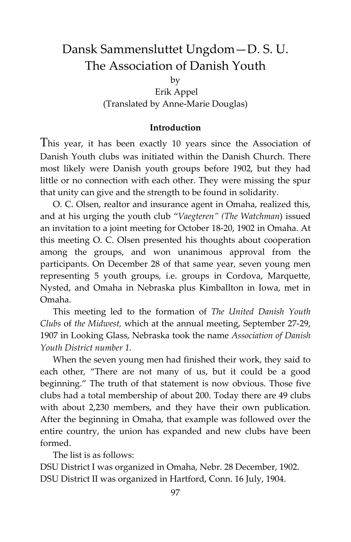### Dansk Sammensluttet Ungdom—D. S. U. The Association of Danish Youth

by

Erik Appel (Translated by Anne-Marie Douglas)

#### **Introduction**

This year, it has been exactly 10 years since the Association of Danish Youth clubs was initiated within the Danish Church. There most likely were Danish youth groups before 1902, but they had little or no connection with each other. They were missing the spur that unity can give and the strength to be found in solidarity.

O. C. Olsen, realtor and insurance agent in Omaha, realized this, and at his urging the youth club "*Vaegteren" (The Watchman*) issued an invitation to a joint meeting for October 18-20, 1902 in Omaha. At this meeting O. C. Olsen presented his thoughts about cooperation among the groups, and won unanimous approval from the participants. On December 28 of that same year, seven young men representing 5 youth groups, i.e. groups in Cordova, Marquette, Nysted, and Omaha in Nebraska plus Kimballton in Iowa, met in Omaha.

This meeting led to the formation of *The United Danish Youth Clubs* of *the Midwest,* which at the annual meeting, September 27-29, 1907 in Looking Glass, Nebraska took the name *Association of Danish Youth District number 1.*

When the seven young men had finished their work, they said to each other, "There are not many of us, but it could be a good beginning." The truth of that statement is now obvious. Those five clubs had a total membership of about 200. Today there are 49 clubs with about 2,230 members, and they have their own publication. After the beginning in Omaha, that example was followed over the entire country, the union has expanded and new clubs have been formed.

The list is as follows:

DSU District I was organized in Omaha, Nebr. 28 December, 1902. DSU District II was organized in Hartford, Conn. 16 July, 1904.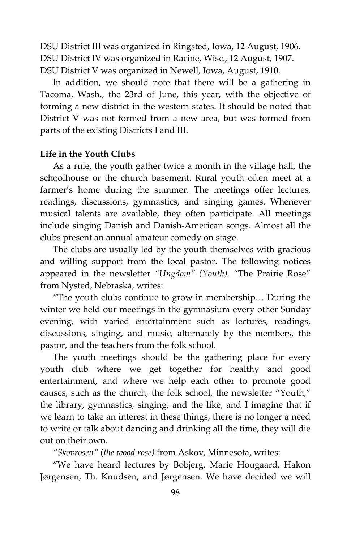DSU District III was organized in Ringsted, Iowa, 12 August, 1906. DSU District IV was organized in Racine, Wisc., 12 August, 1907. DSU District V was organized in Newell, Iowa, August, 1910.

In addition, we should note that there will be a gathering in Tacoma, Wash., the 23rd of June, this year, with the objective of forming a new district in the western states. It should be noted that District V was not formed from a new area, but was formed from parts of the existing Districts I and III.

#### **Life in the Youth Clubs**

As a rule, the youth gather twice a month in the village hall, the schoolhouse or the church basement. Rural youth often meet at a farmer's home during the summer. The meetings offer lectures, readings, discussions, gymnastics, and singing games. Whenever musical talents are available, they often participate. All meetings include singing Danish and Danish-American songs. Almost all the clubs present an annual amateur comedy on stage.

The clubs are usually led by the youth themselves with gracious and willing support from the local pastor. The following notices appeared in the newsletter *"Ungdom" (Youth).* "The Prairie Rose" from Nysted, Nebraska, writes:

"The youth clubs continue to grow in membership… During the winter we held our meetings in the gymnasium every other Sunday evening, with varied entertainment such as lectures, readings, discussions, singing, and music, alternately by the members, the pastor, and the teachers from the folk school.

The youth meetings should be the gathering place for every youth club where we get together for healthy and good entertainment, and where we help each other to promote good causes, such as the church, the folk school, the newsletter "Youth," the library, gymnastics, singing, and the like, and I imagine that if we learn to take an interest in these things, there is no longer a need to write or talk about dancing and drinking all the time, they will die out on their own.

*"Skovrosen"* (*the wood rose)* from Askov, Minnesota, writes:

"We have heard lectures by Bobjerg, Marie Hougaard, Hakon Jørgensen, Th. Knudsen, and Jørgensen. We have decided we will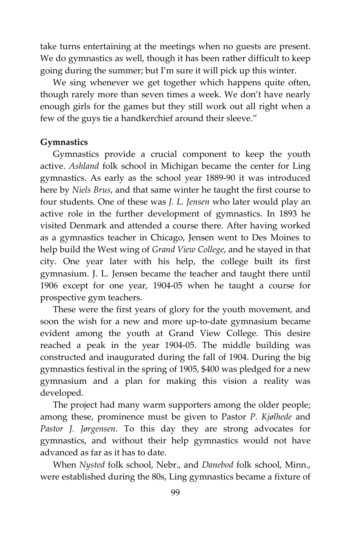take turns entertaining at the meetings when no guests are present. We do gymnastics as well, though it has been rather difficult to keep going during the summer; but I'm sure it will pick up this winter.

We sing whenever we get together which happens quite often, though rarely more than seven times a week. We don't have nearly enough girls for the games but they still work out all right when a few of the guys tie a handkerchief around their sleeve."

#### **Gymnastics**

Gymnastics provide a crucial component to keep the youth active. *Ashland* folk school in Michigan became the center for Ling gymnastics. As early as the school year 1889-90 it was introduced here by *Niels Brus*, and that same winter he taught the first course to four students. One of these was *J. L. Jensen* who later would play an active role in the further development of gymnastics. In 1893 he visited Denmark and attended a course there. After having worked as a gymnastics teacher in Chicago, Jensen went to Des Moines to help build the West wing of *Grand View College*, and he stayed in that city. One year later with his help, the college built its first gymnasium. J. L. Jensen became the teacher and taught there until 1906 except for one year, 1904-05 when he taught a course for prospective gym teachers.

These were the first years of glory for the youth movement, and soon the wish for a new and more up-to-date gymnasium became evident among the youth at Grand View College. This desire reached a peak in the year 1904-05. The middle building was constructed and inaugurated during the fall of 1904. During the big gymnastics festival in the spring of 1905, \$400 was pledged for a new gymnasium and a plan for making this vision a reality was developed.

The project had many warm supporters among the older people; among these, prominence must be given to Pastor *P. Kjølhede* and *Pastor J. Jørgensen.* To this day they are strong advocates for gymnastics, and without their help gymnastics would not have advanced as far as it has to date.

When *Nysted* folk school, Nebr., and *Danebod* folk school, Minn., were established during the 80s, Ling gymnastics became a fixture of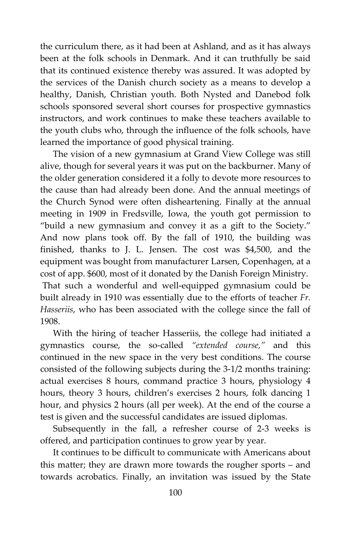the curriculum there, as it had been at Ashland, and as it has always been at the folk schools in Denmark. And it can truthfully be said that its continued existence thereby was assured. It was adopted by the services of the Danish church society as a means to develop a healthy, Danish, Christian youth. Both Nysted and Danebod folk schools sponsored several short courses for prospective gymnastics instructors, and work continues to make these teachers available to the youth clubs who, through the influence of the folk schools, have learned the importance of good physical training.

The vision of a new gymnasium at Grand View College was still alive, though for several years it was put on the backburner. Many of the older generation considered it a folly to devote more resources to the cause than had already been done. And the annual meetings of the Church Synod were often disheartening. Finally at the annual meeting in 1909 in Fredsville, Iowa, the youth got permission to "build a new gymnasium and convey it as a gift to the Society." And now plans took off. By the fall of 1910, the building was finished, thanks to J. L. Jensen. The cost was \$4,500, and the equipment was bought from manufacturer Larsen, Copenhagen, at a cost of app. \$600, most of it donated by the Danish Foreign Ministry. That such a wonderful and well-equipped gymnasium could be built already in 1910 was essentially due to the efforts of teacher *Fr. Hasseriis*, who has been associated with the college since the fall of 1908.

With the hiring of teacher Hasseriis, the college had initiated a gymnastics course, the so-called *"extended course,"* and this continued in the new space in the very best conditions. The course consisted of the following subjects during the 3-1/2 months training: actual exercises 8 hours, command practice 3 hours, physiology 4 hours, theory 3 hours, children's exercises 2 hours, folk dancing 1 hour, and physics 2 hours (all per week). At the end of the course a test is given and the successful candidates are issued diplomas.

Subsequently in the fall, a refresher course of 2-3 weeks is offered, and participation continues to grow year by year.

It continues to be difficult to communicate with Americans about this matter; they are drawn more towards the rougher sports – and towards acrobatics. Finally, an invitation was issued by the State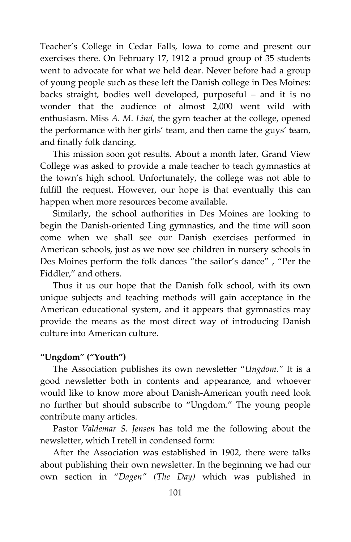Teacher's College in Cedar Falls, Iowa to come and present our exercises there. On February 17, 1912 a proud group of 35 students went to advocate for what we held dear. Never before had a group of young people such as these left the Danish college in Des Moines: backs straight, bodies well developed, purposeful – and it is no wonder that the audience of almost 2,000 went wild with enthusiasm. Miss *A. M. Lind,* the gym teacher at the college, opened the performance with her girls' team, and then came the guys' team, and finally folk dancing.

This mission soon got results. About a month later, Grand View College was asked to provide a male teacher to teach gymnastics at the town's high school. Unfortunately, the college was not able to fulfill the request. However, our hope is that eventually this can happen when more resources become available.

Similarly, the school authorities in Des Moines are looking to begin the Danish-oriented Ling gymnastics, and the time will soon come when we shall see our Danish exercises performed in American schools, just as we now see children in nursery schools in Des Moines perform the folk dances "the sailor's dance" , "Per the Fiddler," and others.

Thus it us our hope that the Danish folk school, with its own unique subjects and teaching methods will gain acceptance in the American educational system, and it appears that gymnastics may provide the means as the most direct way of introducing Danish culture into American culture.

#### **"Ungdom" ("Youth")**

The Association publishes its own newsletter "*Ungdom."* It is a good newsletter both in contents and appearance, and whoever would like to know more about Danish-American youth need look no further but should subscribe to "Ungdom." The young people contribute many articles.

Pastor *Valdemar S. Jensen* has told me the following about the newsletter, which I retell in condensed form:

After the Association was established in 1902, there were talks about publishing their own newsletter. In the beginning we had our own section in "*Dagen" (The Day)* which was published in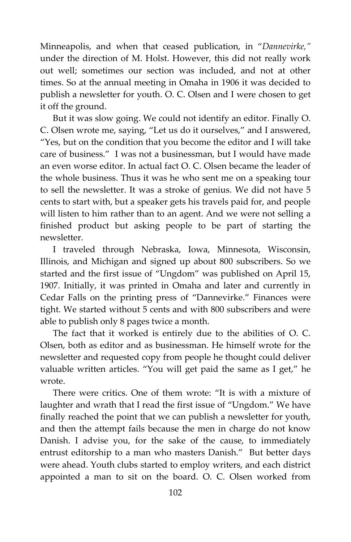Minneapolis, and when that ceased publication, in "*Dannevirke,"* under the direction of M. Holst. However, this did not really work out well; sometimes our section was included, and not at other times. So at the annual meeting in Omaha in 1906 it was decided to publish a newsletter for youth. O. C. Olsen and I were chosen to get it off the ground.

But it was slow going. We could not identify an editor. Finally O. C. Olsen wrote me, saying, "Let us do it ourselves," and I answered, "Yes, but on the condition that you become the editor and I will take care of business." I was not a businessman, but I would have made an even worse editor. In actual fact O. C. Olsen became the leader of the whole business. Thus it was he who sent me on a speaking tour to sell the newsletter. It was a stroke of genius. We did not have 5 cents to start with, but a speaker gets his travels paid for, and people will listen to him rather than to an agent. And we were not selling a finished product but asking people to be part of starting the newsletter.

I traveled through Nebraska, Iowa, Minnesota, Wisconsin, Illinois, and Michigan and signed up about 800 subscribers. So we started and the first issue of "Ungdom" was published on April 15, 1907. Initially, it was printed in Omaha and later and currently in Cedar Falls on the printing press of "Dannevirke." Finances were tight. We started without 5 cents and with 800 subscribers and were able to publish only 8 pages twice a month.

The fact that it worked is entirely due to the abilities of O. C. Olsen, both as editor and as businessman. He himself wrote for the newsletter and requested copy from people he thought could deliver valuable written articles. "You will get paid the same as I get," he wrote.

There were critics. One of them wrote: "It is with a mixture of laughter and wrath that I read the first issue of "Ungdom." We have finally reached the point that we can publish a newsletter for youth, and then the attempt fails because the men in charge do not know Danish. I advise you, for the sake of the cause, to immediately entrust editorship to a man who masters Danish." But better days were ahead. Youth clubs started to employ writers, and each district appointed a man to sit on the board. O. C. Olsen worked from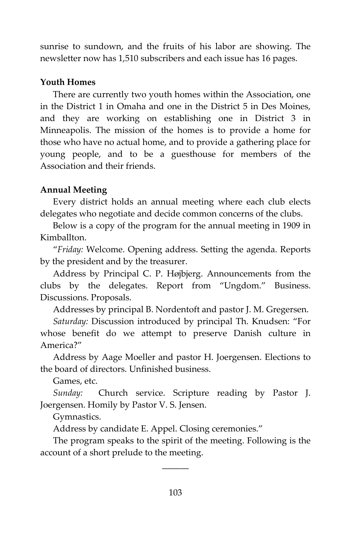sunrise to sundown, and the fruits of his labor are showing. The newsletter now has 1,510 subscribers and each issue has 16 pages.

#### **Youth Homes**

There are currently two youth homes within the Association, one in the District 1 in Omaha and one in the District 5 in Des Moines, and they are working on establishing one in District 3 in Minneapolis. The mission of the homes is to provide a home for those who have no actual home, and to provide a gathering place for young people, and to be a guesthouse for members of the Association and their friends.

#### **Annual Meeting**

Every district holds an annual meeting where each club elects delegates who negotiate and decide common concerns of the clubs.

Below is a copy of the program for the annual meeting in 1909 in Kimballton.

"*Friday:* Welcome. Opening address. Setting the agenda. Reports by the president and by the treasurer.

Address by Principal C. P. Højbjerg. Announcements from the clubs by the delegates. Report from "Ungdom." Business. Discussions. Proposals.

Addresses by principal B. Nordentoft and pastor J. M. Gregersen.

*Saturday:* Discussion introduced by principal Th. Knudsen: "For whose benefit do we attempt to preserve Danish culture in America?"

Address by Aage Moeller and pastor H. Joergensen. Elections to the board of directors. Unfinished business.

Games, etc.

*Sunday:* Church service. Scripture reading by Pastor J. Joergensen. Homily by Pastor V. S. Jensen.

Gymnastics.

Address by candidate E. Appel. Closing ceremonies."

The program speaks to the spirit of the meeting. Following is the account of a short prelude to the meeting.

 $\overline{\phantom{a}}$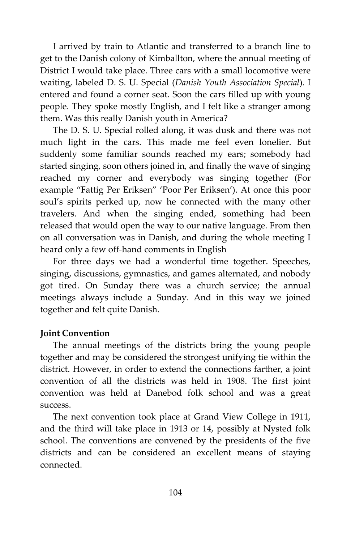I arrived by train to Atlantic and transferred to a branch line to get to the Danish colony of Kimballton, where the annual meeting of District I would take place. Three cars with a small locomotive were waiting, labeled D. S. U. Special (*Danish Youth Association Special*). I entered and found a corner seat. Soon the cars filled up with young people. They spoke mostly English, and I felt like a stranger among them. Was this really Danish youth in America?

The D. S. U. Special rolled along, it was dusk and there was not much light in the cars. This made me feel even lonelier. But suddenly some familiar sounds reached my ears; somebody had started singing, soon others joined in, and finally the wave of singing reached my corner and everybody was singing together (For example "Fattig Per Eriksen" 'Poor Per Eriksen'). At once this poor soul's spirits perked up, now he connected with the many other travelers. And when the singing ended, something had been released that would open the way to our native language. From then on all conversation was in Danish, and during the whole meeting I heard only a few off-hand comments in English

For three days we had a wonderful time together. Speeches, singing, discussions, gymnastics, and games alternated, and nobody got tired. On Sunday there was a church service; the annual meetings always include a Sunday. And in this way we joined together and felt quite Danish.

#### **Joint Convention**

The annual meetings of the districts bring the young people together and may be considered the strongest unifying tie within the district. However, in order to extend the connections farther, a joint convention of all the districts was held in 1908. The first joint convention was held at Danebod folk school and was a great success.

The next convention took place at Grand View College in 1911, and the third will take place in 1913 or 14, possibly at Nysted folk school. The conventions are convened by the presidents of the five districts and can be considered an excellent means of staying connected.